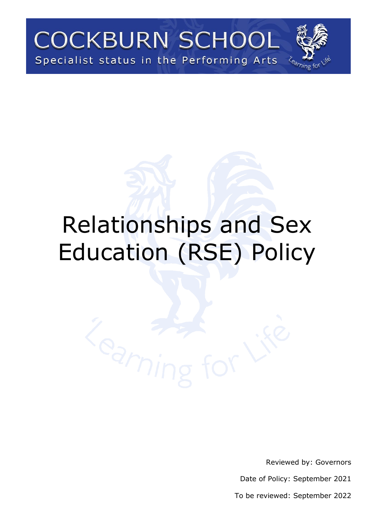**COCKBURN SCHOOL** Specialist status in the Performing Arts

# Relationships and Sex Education (RSE) Policy

Reviewed by: Governors

Date of Policy: September 2021

To be reviewed: September 2022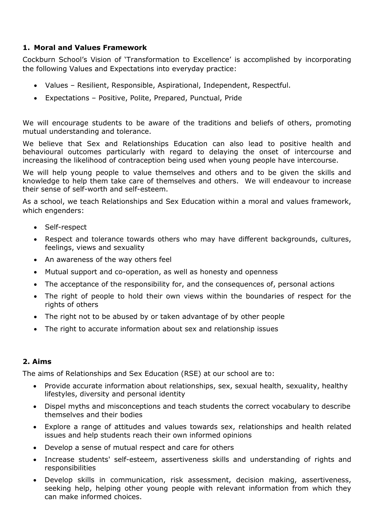### **1. Moral and Values Framework**

Cockburn School's Vision of 'Transformation to Excellence' is accomplished by incorporating the following Values and Expectations into everyday practice:

- Values Resilient, Responsible, Aspirational, Independent, Respectful.
- Expectations Positive, Polite, Prepared, Punctual, Pride

We will encourage students to be aware of the traditions and beliefs of others, promoting mutual understanding and tolerance.

We believe that Sex and Relationships Education can also lead to positive health and behavioural outcomes particularly with regard to delaying the onset of intercourse and increasing the likelihood of contraception being used when young people have intercourse.

We will help young people to value themselves and others and to be given the skills and knowledge to help them take care of themselves and others. We will endeavour to increase their sense of self-worth and self-esteem.

As a school, we teach Relationships and Sex Education within a moral and values framework, which engenders:

- Self-respect
- Respect and tolerance towards others who may have different backgrounds, cultures, feelings, views and sexuality
- An awareness of the way others feel
- Mutual support and co-operation, as well as honesty and openness
- The acceptance of the responsibility for, and the consequences of, personal actions
- The right of people to hold their own views within the boundaries of respect for the rights of others
- The right not to be abused by or taken advantage of by other people
- The right to accurate information about sex and relationship issues

## **2. Aims**

The aims of Relationships and Sex Education (RSE) at our school are to:

- Provide accurate information about relationships, sex, sexual health, sexuality, healthy lifestyles, diversity and personal identity
- Dispel myths and misconceptions and teach students the correct vocabulary to describe themselves and their bodies
- Explore a range of attitudes and values towards sex, relationships and health related issues and help students reach their own informed opinions
- Develop a sense of mutual respect and care for others
- Increase students' self-esteem, assertiveness skills and understanding of rights and responsibilities
- Develop skills in communication, risk assessment, decision making, assertiveness, seeking help, helping other young people with relevant information from which they can make informed choices.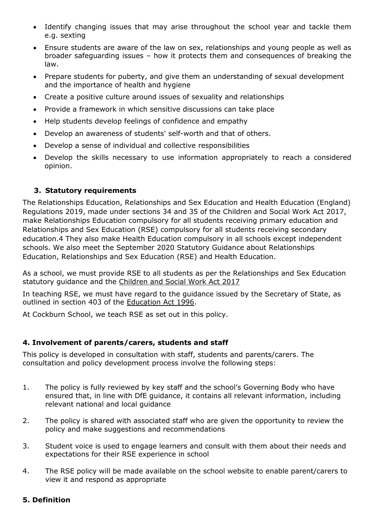- Identify changing issues that may arise throughout the school year and tackle them e.g. sexting
- Ensure students are aware of the law on sex, relationships and young people as well as broader safeguarding issues – how it protects them and consequences of breaking the law.
- Prepare students for puberty, and give them an understanding of sexual development and the importance of health and hygiene
- Create a positive culture around issues of sexuality and relationships
- Provide a framework in which sensitive discussions can take place
- Help students develop feelings of confidence and empathy
- Develop an awareness of students' self-worth and that of others.
- Develop a sense of individual and collective responsibilities
- Develop the skills necessary to use information appropriately to reach a considered opinion.

## **3. Statutory requirements**

The Relationships Education, Relationships and Sex Education and Health Education (England) Regulations 2019, made under sections 34 and 35 of the Children and Social Work Act 2017, make Relationships Education compulsory for all students receiving primary education and Relationships and Sex Education (RSE) compulsory for all students receiving secondary education.4 They also make Health Education compulsory in all schools except independent schools. We also meet the September 2020 Statutory Guidance about Relationships Education, Relationships and Sex Education (RSE) and Health Education.

As a school, we must provide RSE to all students as per the Relationships and Sex Education statutory guidance and the [Children and Social Work Act 2017](http://www.legislation.gov.uk/ukpga/2017/16/section/34/enacted) 

In teaching RSE, we must have regard to the guidance issued by the Secretary of State, as outlined in section 403 of the [Education Act 1996.](http://www.legislation.gov.uk/ukpga/1996/56/contents)

At Cockburn School, we teach RSE as set out in this policy.

### **4. Involvement of parents/carers, students and staff**

This policy is developed in consultation with staff, students and parents/carers. The consultation and policy development process involve the following steps:

- 1. The policy is fully reviewed by key staff and the school's Governing Body who have ensured that, in line with DfE guidance, it contains all relevant information, including relevant national and local guidance
- 2. The policy is shared with associated staff who are given the opportunity to review the policy and make suggestions and recommendations
- 3. Student voice is used to engage learners and consult with them about their needs and expectations for their RSE experience in school
- 4. The RSE policy will be made available on the school website to enable parent/carers to view it and respond as appropriate

### **5. Definition**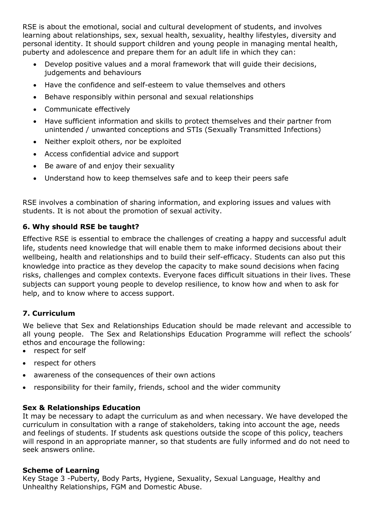RSE is about the emotional, social and cultural development of students, and involves learning about relationships, sex, sexual health, sexuality, healthy lifestyles, diversity and personal identity. It should support children and young people in managing mental health, puberty and adolescence and prepare them for an adult life in which they can:

- Develop positive values and a moral framework that will guide their decisions, judgements and behaviours
- Have the confidence and self-esteem to value themselves and others
- Behave responsibly within personal and sexual relationships
- Communicate effectively
- Have sufficient information and skills to protect themselves and their partner from unintended / unwanted conceptions and STIs (Sexually Transmitted Infections)
- Neither exploit others, nor be exploited
- Access confidential advice and support
- Be aware of and enjoy their sexuality
- Understand how to keep themselves safe and to keep their peers safe

RSE involves a combination of sharing information, and exploring issues and values with students. It is not about the promotion of sexual activity.

## **6. Why should RSE be taught?**

Effective RSE is essential to embrace the challenges of creating a happy and successful adult life, students need knowledge that will enable them to make informed decisions about their wellbeing, health and relationships and to build their self-efficacy. Students can also put this knowledge into practice as they develop the capacity to make sound decisions when facing risks, challenges and complex contexts. Everyone faces difficult situations in their lives. These subjects can support young people to develop resilience, to know how and when to ask for help, and to know where to access support.

## **7. Curriculum**

We believe that Sex and Relationships Education should be made relevant and accessible to all young people. The Sex and Relationships Education Programme will reflect the schools' ethos and encourage the following:

- respect for self
- respect for others
- awareness of the consequences of their own actions
- responsibility for their family, friends, school and the wider community

### **Sex & Relationships Education**

It may be necessary to adapt the curriculum as and when necessary. We have developed the curriculum in consultation with a range of stakeholders, taking into account the age, needs and feelings of students. If students ask questions outside the scope of this policy, teachers will respond in an appropriate manner, so that students are fully informed and do not need to seek answers online.

### **Scheme of Learning**

Key Stage 3 -Puberty, Body Parts, Hygiene, Sexuality, Sexual Language, Healthy and Unhealthy Relationships, FGM and Domestic Abuse.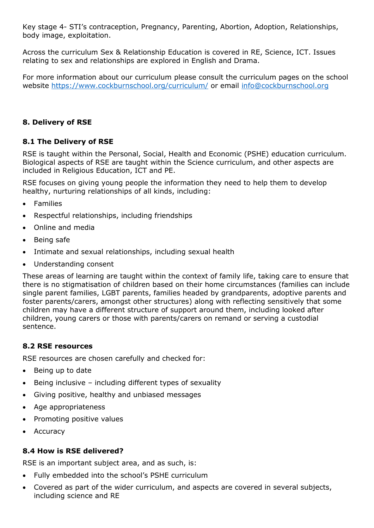Key stage 4- STI's contraception, Pregnancy, Parenting, Abortion, Adoption, Relationships, body image, exploitation.

Across the curriculum Sex & Relationship Education is covered in RE, Science, ICT. Issues relating to sex and relationships are explored in English and Drama.

For more information about our curriculum please consult the curriculum pages on the school website<https://www.cockburnschool.org/curriculum/> or email [info@cockburnschool.org](mailto:info@cockburnschool.org)

# **8. Delivery of RSE**

## **8.1 The Delivery of RSE**

RSE is taught within the Personal, Social, Health and Economic (PSHE) education curriculum. Biological aspects of RSE are taught within the Science curriculum, and other aspects are included in Religious Education, ICT and PE.

RSE focuses on giving young people the information they need to help them to develop healthy, nurturing relationships of all kinds, including:

- Families
- Respectful relationships, including friendships
- Online and media
- Being safe
- Intimate and sexual relationships, including sexual health
- Understanding consent

These areas of learning are taught within the context of family life, taking care to ensure that there is no stigmatisation of children based on their home circumstances (families can include single parent families, LGBT parents, families headed by grandparents, adoptive parents and foster parents/carers, amongst other structures) along with reflecting sensitively that some children may have a different structure of support around them, including looked after children, young carers or those with parents/carers on remand or serving a custodial sentence.

### **8.2 RSE resources**

RSE resources are chosen carefully and checked for:

- Being up to date
- Being inclusive including different types of sexuality
- Giving positive, healthy and unbiased messages
- Age appropriateness
- Promoting positive values
- **Accuracy**

### **8.4 How is RSE delivered?**

RSE is an important subject area, and as such, is:

- Fully embedded into the school's PSHE curriculum
- Covered as part of the wider curriculum, and aspects are covered in several subjects, including science and RE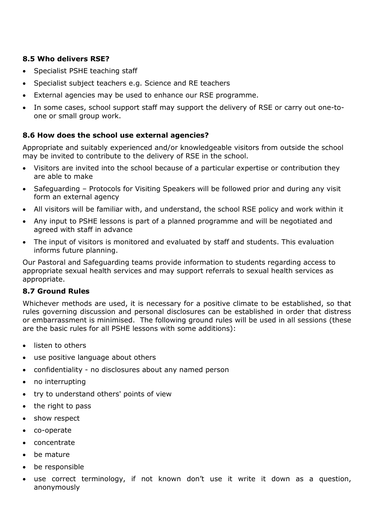## **8.5 Who delivers RSE?**

- Specialist PSHE teaching staff
- Specialist subject teachers e.g. Science and RE teachers
- External agencies may be used to enhance our RSE programme.
- In some cases, school support staff may support the delivery of RSE or carry out one-toone or small group work.

## **8.6 How does the school use external agencies?**

Appropriate and suitably experienced and/or knowledgeable visitors from outside the school may be invited to contribute to the delivery of RSE in the school.

- Visitors are invited into the school because of a particular expertise or contribution they are able to make
- Safeguarding Protocols for Visiting Speakers will be followed prior and during any visit form an external agency
- All visitors will be familiar with, and understand, the school RSE policy and work within it
- Any input to PSHE lessons is part of a planned programme and will be negotiated and agreed with staff in advance
- The input of visitors is monitored and evaluated by staff and students. This evaluation informs future planning.

Our Pastoral and Safeguarding teams provide information to students regarding access to appropriate sexual health services and may support referrals to sexual health services as appropriate.

### **8.7 Ground Rules**

Whichever methods are used, it is necessary for a positive climate to be established, so that rules governing discussion and personal disclosures can be established in order that distress or embarrassment is minimised. The following ground rules will be used in all sessions (these are the basic rules for all PSHE lessons with some additions):

- listen to others
- use positive language about others
- confidentiality no disclosures about any named person
- no interrupting
- try to understand others' points of view
- the right to pass
- show respect
- co-operate
- concentrate
- be mature
- be responsible
- use correct terminology, if not known don't use it write it down as a question, anonymously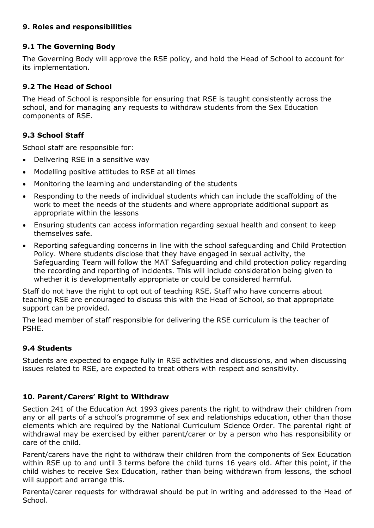## **9. Roles and responsibilities**

## **9.1 The Governing Body**

The Governing Body will approve the RSE policy, and hold the Head of School to account for its implementation.

## **9.2 The Head of School**

The Head of School is responsible for ensuring that RSE is taught consistently across the school, and for managing any requests to withdraw students from the Sex Education components of RSE.

## **9.3 School Staff**

School staff are responsible for:

- Delivering RSE in a sensitive way
- Modelling positive attitudes to RSE at all times
- Monitoring the learning and understanding of the students
- Responding to the needs of individual students which can include the scaffolding of the work to meet the needs of the students and where appropriate additional support as appropriate within the lessons
- Ensuring students can access information regarding sexual health and consent to keep themselves safe.
- Reporting safeguarding concerns in line with the school safeguarding and Child Protection Policy. Where students disclose that they have engaged in sexual activity, the Safeguarding Team will follow the MAT Safeguarding and child protection policy regarding the recording and reporting of incidents. This will include consideration being given to whether it is developmentally appropriate or could be considered harmful.

Staff do not have the right to opt out of teaching RSE. Staff who have concerns about teaching RSE are encouraged to discuss this with the Head of School, so that appropriate support can be provided.

The lead member of staff responsible for delivering the RSE curriculum is the teacher of PSHE.

### **9.4 Students**

Students are expected to engage fully in RSE activities and discussions, and when discussing issues related to RSE, are expected to treat others with respect and sensitivity.

### **10. Parent/Carers' Right to Withdraw**

Section 241 of the Education Act 1993 gives parents the right to withdraw their children from any or all parts of a school's programme of sex and relationships education, other than those elements which are required by the National Curriculum Science Order. The parental right of withdrawal may be exercised by either parent/carer or by a person who has responsibility or care of the child.

Parent/carers have the right to withdraw their children from the components of Sex Education within RSE up to and until 3 terms before the child turns 16 years old. After this point, if the child wishes to receive Sex Education, rather than being withdrawn from lessons, the school will support and arrange this.

Parental/carer requests for withdrawal should be put in writing and addressed to the Head of School.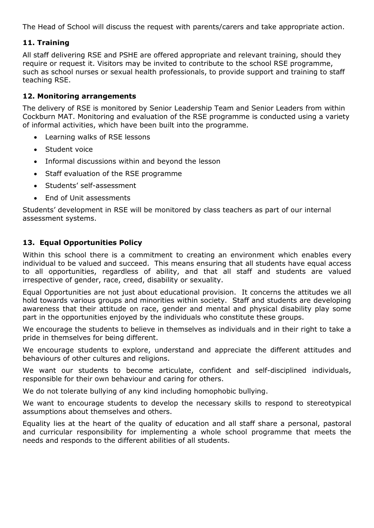The Head of School will discuss the request with parents/carers and take appropriate action.

#### **11. Training**

All staff delivering RSE and PSHE are offered appropriate and relevant training, should they require or request it. Visitors may be invited to contribute to the school RSE programme, such as school nurses or sexual health professionals, to provide support and training to staff teaching RSE.

#### **12. Monitoring arrangements**

The delivery of RSE is monitored by Senior Leadership Team and Senior Leaders from within Cockburn MAT. Monitoring and evaluation of the RSE programme is conducted using a variety of informal activities, which have been built into the programme.

- Learning walks of RSE lessons
- Student voice
- Informal discussions within and beyond the lesson
- Staff evaluation of the RSE programme
- Students' self-assessment
- End of Unit assessments

Students' development in RSE will be monitored by class teachers as part of our internal assessment systems.

### **13. Equal Opportunities Policy**

Within this school there is a commitment to creating an environment which enables every individual to be valued and succeed. This means ensuring that all students have equal access to all opportunities, regardless of ability, and that all staff and students are valued irrespective of gender, race, creed, disability or sexuality.

Equal Opportunities are not just about educational provision. It concerns the attitudes we all hold towards various groups and minorities within society. Staff and students are developing awareness that their attitude on race, gender and mental and physical disability play some part in the opportunities enjoyed by the individuals who constitute these groups.

We encourage the students to believe in themselves as individuals and in their right to take a pride in themselves for being different.

We encourage students to explore, understand and appreciate the different attitudes and behaviours of other cultures and religions.

We want our students to become articulate, confident and self-disciplined individuals, responsible for their own behaviour and caring for others.

We do not tolerate bullying of any kind including homophobic bullying.

We want to encourage students to develop the necessary skills to respond to stereotypical assumptions about themselves and others.

Equality lies at the heart of the quality of education and all staff share a personal, pastoral and curricular responsibility for implementing a whole school programme that meets the needs and responds to the different abilities of all students.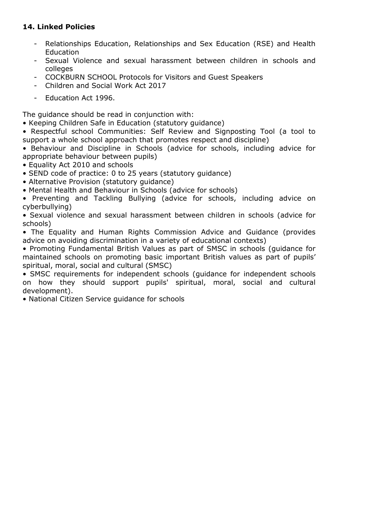## **14. Linked Policies**

- Relationships Education, Relationships and Sex Education (RSE) and Health Education
- Sexual Violence and sexual harassment between children in schools and colleges
- COCKBURN SCHOOL Protocols for Visitors and Guest Speakers
- [Children and Social Work Act 2017](http://www.legislation.gov.uk/ukpga/2017/16/section/34/enacted)
- [Education Act 1996.](http://www.legislation.gov.uk/ukpga/1996/56/contents)

The guidance should be read in conjunction with:

- Keeping Children Safe in Education (statutory guidance)
- Respectful school Communities: Self Review and Signposting Tool (a tool to support a whole school approach that promotes respect and discipline)
- Behaviour and Discipline in Schools (advice for schools, including advice for appropriate behaviour between pupils)
- Equality Act 2010 and schools
- SEND code of practice: 0 to 25 years (statutory guidance)
- Alternative Provision (statutory guidance)
- Mental Health and Behaviour in Schools (advice for schools)
- Preventing and Tackling Bullying (advice for schools, including advice on cyberbullying)
- Sexual violence and sexual harassment between children in schools (advice for schools)
- The Equality and Human Rights Commission Advice and Guidance (provides advice on avoiding discrimination in a variety of educational contexts)
- Promoting Fundamental British Values as part of SMSC in schools (guidance for maintained schools on promoting basic important British values as part of pupils' spiritual, moral, social and cultural (SMSC)
- SMSC requirements for independent schools (guidance for independent schools on how they should support pupils' spiritual, moral, social and cultural development).
- National Citizen Service guidance for schools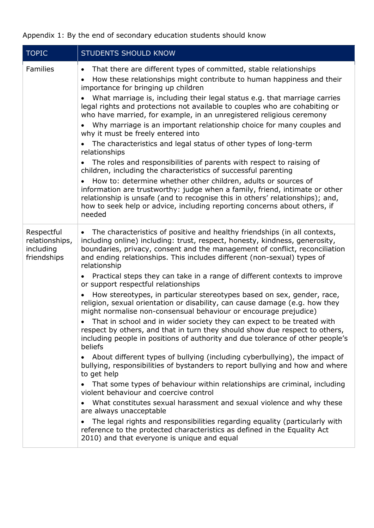Appendix 1: By the end of secondary education students should know

| <b>TOPIC</b>                                             | <b>STUDENTS SHOULD KNOW</b>                                                                                                                                                                                                                                                                                                                                                                                                                                                                                                                                                                                                                                                                                                                                                                                                                                                                                                                                                                                                                                                                                                                                                                                                                                                                                                                                                                                                                                                                                                                                                 |
|----------------------------------------------------------|-----------------------------------------------------------------------------------------------------------------------------------------------------------------------------------------------------------------------------------------------------------------------------------------------------------------------------------------------------------------------------------------------------------------------------------------------------------------------------------------------------------------------------------------------------------------------------------------------------------------------------------------------------------------------------------------------------------------------------------------------------------------------------------------------------------------------------------------------------------------------------------------------------------------------------------------------------------------------------------------------------------------------------------------------------------------------------------------------------------------------------------------------------------------------------------------------------------------------------------------------------------------------------------------------------------------------------------------------------------------------------------------------------------------------------------------------------------------------------------------------------------------------------------------------------------------------------|
| <b>Families</b>                                          | That there are different types of committed, stable relationships<br>$\bullet$<br>How these relationships might contribute to human happiness and their<br>$\bullet$<br>importance for bringing up children<br>What marriage is, including their legal status e.g. that marriage carries<br>legal rights and protections not available to couples who are cohabiting or<br>who have married, for example, in an unregistered religious ceremony<br>Why marriage is an important relationship choice for many couples and<br>why it must be freely entered into<br>The characteristics and legal status of other types of long-term<br>relationships<br>The roles and responsibilities of parents with respect to raising of<br>children, including the characteristics of successful parenting<br>How to: determine whether other children, adults or sources of<br>information are trustworthy: judge when a family, friend, intimate or other<br>relationship is unsafe (and to recognise this in others' relationships); and,<br>how to seek help or advice, including reporting concerns about others, if<br>needed                                                                                                                                                                                                                                                                                                                                                                                                                                                     |
| Respectful<br>relationships,<br>including<br>friendships | The characteristics of positive and healthy friendships (in all contexts,<br>$\bullet$<br>including online) including: trust, respect, honesty, kindness, generosity,<br>boundaries, privacy, consent and the management of conflict, reconciliation<br>and ending relationships. This includes different (non-sexual) types of<br>relationship<br>Practical steps they can take in a range of different contexts to improve<br>or support respectful relationships<br>How stereotypes, in particular stereotypes based on sex, gender, race,<br>religion, sexual orientation or disability, can cause damage (e.g. how they<br>might normalise non-consensual behaviour or encourage prejudice)<br>• That in school and in wider society they can expect to be treated with<br>respect by others, and that in turn they should show due respect to others,<br>including people in positions of authority and due tolerance of other people's<br>beliefs<br>About different types of bullying (including cyberbullying), the impact of<br>bullying, responsibilities of bystanders to report bullying and how and where<br>to get help<br>That some types of behaviour within relationships are criminal, including<br>violent behaviour and coercive control<br>What constitutes sexual harassment and sexual violence and why these<br>are always unacceptable<br>The legal rights and responsibilities regarding equality (particularly with<br>reference to the protected characteristics as defined in the Equality Act<br>2010) and that everyone is unique and equal |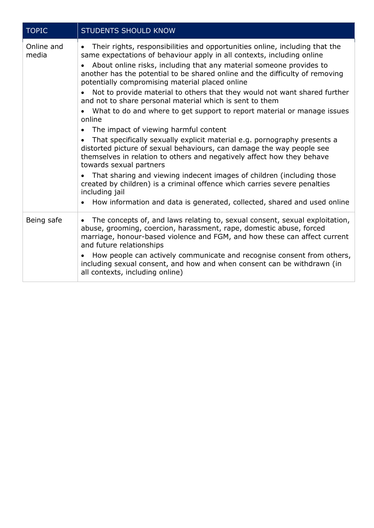| <b>TOPIC</b>        | <b>STUDENTS SHOULD KNOW</b>                                                                                                                                                                                                                                                                                                                                                                                                                                                                                                                                                                                                                                                                                                                                                                                                                                                                                                                                                                                                                                                                                     |
|---------------------|-----------------------------------------------------------------------------------------------------------------------------------------------------------------------------------------------------------------------------------------------------------------------------------------------------------------------------------------------------------------------------------------------------------------------------------------------------------------------------------------------------------------------------------------------------------------------------------------------------------------------------------------------------------------------------------------------------------------------------------------------------------------------------------------------------------------------------------------------------------------------------------------------------------------------------------------------------------------------------------------------------------------------------------------------------------------------------------------------------------------|
| Online and<br>media | Their rights, responsibilities and opportunities online, including that the<br>$\bullet$<br>same expectations of behaviour apply in all contexts, including online<br>About online risks, including that any material someone provides to<br>another has the potential to be shared online and the difficulty of removing<br>potentially compromising material placed online<br>Not to provide material to others that they would not want shared further<br>and not to share personal material which is sent to them<br>What to do and where to get support to report material or manage issues<br>$\bullet$<br>online<br>The impact of viewing harmful content<br>$\bullet$<br>That specifically sexually explicit material e.g. pornography presents a<br>distorted picture of sexual behaviours, can damage the way people see<br>themselves in relation to others and negatively affect how they behave<br>towards sexual partners<br>That sharing and viewing indecent images of children (including those<br>created by children) is a criminal offence which carries severe penalties<br>including jail |
|                     | How information and data is generated, collected, shared and used online<br>$\bullet$                                                                                                                                                                                                                                                                                                                                                                                                                                                                                                                                                                                                                                                                                                                                                                                                                                                                                                                                                                                                                           |
| Being safe          | The concepts of, and laws relating to, sexual consent, sexual exploitation,<br>$\bullet$<br>abuse, grooming, coercion, harassment, rape, domestic abuse, forced<br>marriage, honour-based violence and FGM, and how these can affect current<br>and future relationships<br>How people can actively communicate and recognise consent from others,<br>including sexual consent, and how and when consent can be withdrawn (in<br>all contexts, including online)                                                                                                                                                                                                                                                                                                                                                                                                                                                                                                                                                                                                                                                |